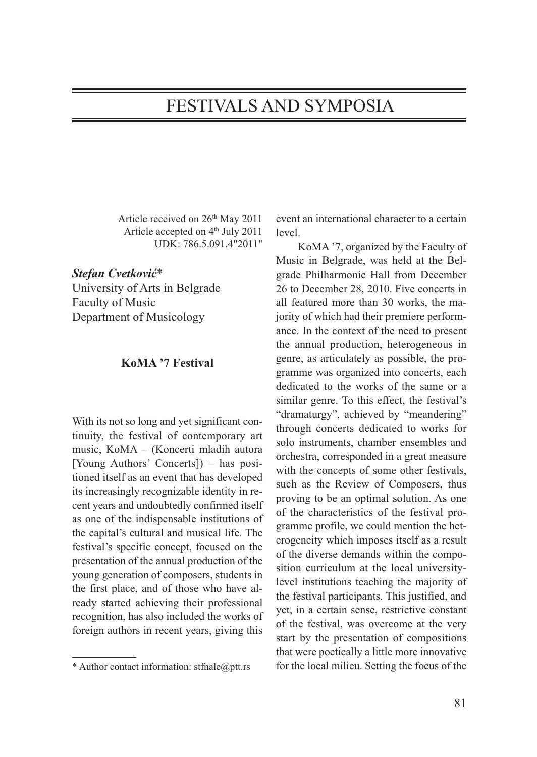## FESTIVALS AND SYMPOSIA

Article received on 26th May 2011 Article accepted on 4<sup>th</sup> July 2011 UDK: 786.5.091.4"2011"

*Stefan Cvetković*\*

University of Arts in Belgrade Faculty of Music Department of Musicology

## **KoMA '7 Festival**

With its not so long and yet significant continuity, the festival of contemporary art music, KoMA – (Koncerti mladih autora [Young Authors' Concerts]) – has positioned itself as an event that has developed its increasingly recognizable identity in recent years and undoubtedly confirmed itself as one of the indispensable institutions of the capital's cultural and musical life. The festival's specific concept, focused on the presentation of the annual production of the young generation of composers, students in the first place, and of those who have already started achieving their professional recognition, has also included the works of foreign authors in recent years, giving this

event an international character to a certain level.

KoMA '7, organized by the Faculty of Music in Belgrade, was held at the Belgrade Philharmonic Hall from December 26 to December 28, 2010. Five concerts in all featured more than 30 works, the majority of which had their premiere performance. In the context of the need to present the annual production, heterogeneous in genre, as articulately as possible, the programme was organized into concerts, each dedicated to the works of the same or a similar genre. To this effect, the festival's "dramaturgy", achieved by "meandering" through concerts dedicated to works for solo instruments, chamber ensembles and orchestra, corresponded in a great measure with the concepts of some other festivals, such as the Review of Composers, thus proving to be an optimal solution. As one of the characteristics of the festival programme profile, we could mention the heterogeneity which imposes itself as a result of the diverse demands within the composition curriculum at the local universitylevel institutions teaching the majority of the festival participants. This justified, and yet, in a certain sense, restrictive constant of the festival, was overcome at the very start by the presentation of compositions that were poetically a little more innovative for the local milieu. Setting the focus of the

<sup>\*</sup> Author contact information: stfnale@ptt.rs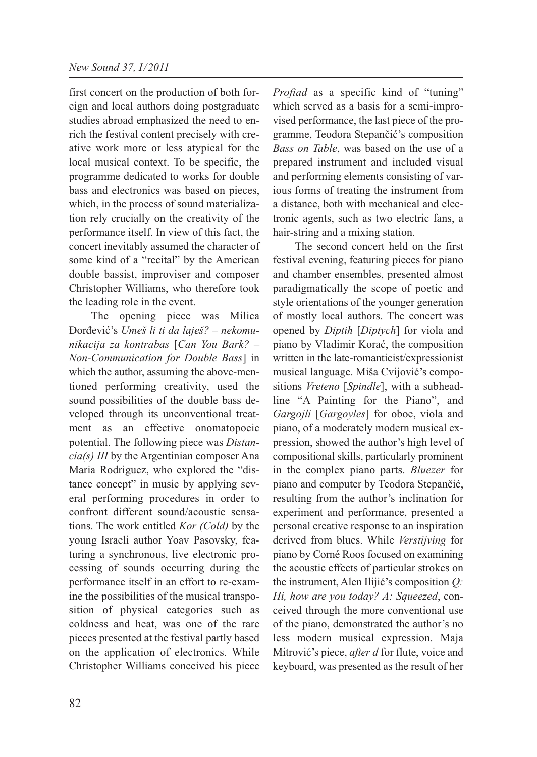first concert on the production of both foreign and local authors doing postgraduate studies abroad emphasized the need to enrich the festival content precisely with creative work more or less atypical for the local musical context. To be specific, the programme dedicated to works for double bass and electronics was based on pieces, which, in the process of sound materialization rely crucially on the creativity of the performance itself. In view of this fact, the concert inevitably assumed the character of some kind of a "recital" by the American double bassist, improviser and composer Christopher Williams, who therefore took the leading role in the event.

The opening piece was Milica Đorđević's *Umeš li ti da laješ? – nekomunikacija za kontrabas* [*Can You Bark? – Non-Communication for Double Bass*] in which the author, assuming the above-mentioned performing creativity, used the sound possibilities of the double bass developed through its unconventional treatment as an effective onomatopoeic potential. The following piece was *Distancia(s) III* by the Argentinian composer Ana Maria Rodriguez, who explored the "distance concept" in music by applying several performing procedures in order to confront different sound/acoustic sensations. The work entitled *Kor (Cold)* by the young Israeli author Yoav Pasovsky, featuring a synchronous, live electronic processing of sounds occurring during the performance itself in an effort to re-examine the possibilities of the musical transposition of physical categories such as coldness and heat, was one of the rare pieces presented at the festival partly based on the application of electronics. While Christopher Williams conceived his piece

*Profiad* as a specific kind of "tuning" which served as a basis for a semi-improvised performance, the last piece of the programme, Teodora Stepančić's composition *Bass on Table*, was based on the use of a prepared instrument and included visual and performing elements consisting of various forms of treating the instrument from a distance, both with mechanical and electronic agents, such as two electric fans, a hair-string and a mixing station.

The second concert held on the first festival evening, featuring pieces for piano and chamber ensembles, presented almost paradigmatically the scope of poetic and style orientations of the younger generation of mostly local authors. The concert was opened by *Diptih* [*Diptych*] for viola and piano by Vladimir Korać, the composition written in the late-romanticist/expressionist musical language. Miša Cvijović's compositions *Vreteno* [*Spindle*], with a subheadline "A Painting for the Piano", and *Gargojli* [*Gargoyles*] for oboe, viola and piano, of a moderately modern musical expression, showed the author's high level of compositional skills, particularly prominent in the complex piano parts. *Bluezer* for piano and computer by Teodora Stepančić, resulting from the author's inclination for experiment and performance, presented a personal creative response to an inspiration derived from blues. While *Verstijving* for piano by Corné Roos focused on examining the acoustic effects of particular strokes on the instrument, Alen Ilijić's composition *Q: Hi, how are you today? A: Squeezed*, conceived through the more conventional use of the piano, demonstrated the author's no less modern musical expression. Maja Mitrović's piece, *after d* for flute, voice and keyboard, was presented as the result of her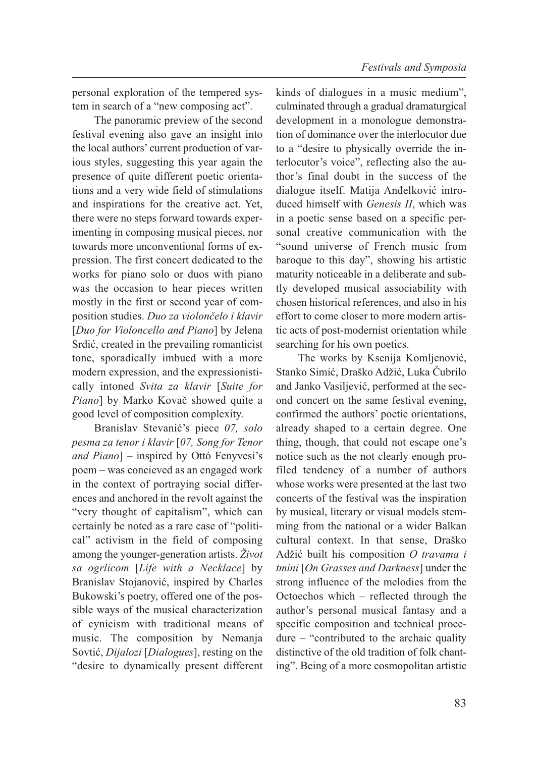personal exploration of the tempered system in search of a "new composing act".

The panoramic preview of the second festival evening also gave an insight into the local authors' current production of various styles, suggesting this year again the presence of quite different poetic orientations and a very wide field of stimulations and inspirations for the creative act. Yet, there were no steps forward towards experimenting in composing musical pieces, nor towards more unconventional forms of expression. The first concert dedicated to the works for piano solo or duos with piano was the occasion to hear pieces written mostly in the first or second year of composition studies. *Duo za violončelo i klavir* [*Duo for Violoncello and Piano*] by Jelena Srdić, created in the prevailing romanticist tone, sporadically imbued with a more modern expression, and the expressionistically intoned *Svita za klavir* [*Suite for Piano*] by Marko Kovač showed quite a good level of composition complexity.

Branislav Stevanić's piece *07, solo pesma za tenor i klavir* [*07, Song for Tenor and Piano*] – inspired by Ottó Fenyvesi's poem – was concieved as an engaged work in the context of portraying social differences and anchored in the revolt against the "very thought of capitalism", which can certainly be noted as a rare case of "political" activism in the field of composing among the younger-generation artists. *Život sa ogrlicom* [*Life with a Necklace*] by Branislav Stojanović, inspired by Charles Bukowski's poetry, offered one of the possible ways of the musical characterization of cynicism with traditional means of music. The composition by Nemanja Sovtić, *Dijalozi* [*Dialogues*], resting on the "desire to dynamically present different kinds of dialogues in a music medium", culminated through a gradual dramaturgical development in a monologue demonstration of dominance over the interlocutor due to a "desire to physically override the interlocutor's voice", reflecting also the author's final doubt in the success of the dialogue itself. Matija Anđelković introduced himself with *Genesis II*, which was in a poetic sense based on a specific personal creative communication with the "sound universe of French music from baroque to this day", showing his artistic maturity noticeable in a deliberate and subtly developed musical associability with chosen historical references, and also in his effort to come closer to more modern artistic acts of post-modernist orientation while searching for his own poetics.

The works by Ksenija Komljenović, Stanko Simić, Draško Adžić, Luka Čubrilo and Janko Vasiljević, performed at the second concert on the same festival evening, confirmed the authors' poetic orientations, already shaped to a certain degree. One thing, though, that could not escape one's notice such as the not clearly enough profiled tendency of a number of authors whose works were presented at the last two concerts of the festival was the inspiration by musical, literary or visual models stemming from the national or a wider Balkan cultural context. In that sense, Draško Adžić built his composition *O travama i tmini* [*On Grasses and Darkness*] under the strong influence of the melodies from the Octoechos which – reflected through the author's personal musical fantasy and a specific composition and technical procedure – "contributed to the archaic quality distinctive of the old tradition of folk chanting". Being of a more cosmopolitan artistic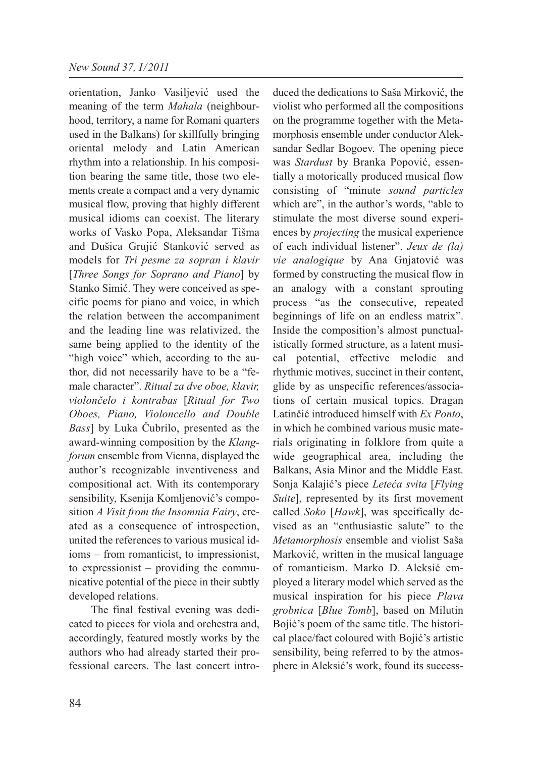orientation, Janko Vasiljević used the meaning of the term *Mahala* (neighbourhood, territory, a name for Romani quarters used in the Balkans) for skillfully bringing oriental melody and Latin American rhythm into a relationship. In his composition bearing the same title, those two elements create a compact and a very dynamic musical flow, proving that highly different musical idioms can coexist. The literary works of Vasko Popa, Aleksandar Tišma and Dušica Grujić Stanković served as models for *Tri pesme za sopran i klavir* [*Three Songs for Soprano and Piano*] by Stanko Simić. They were conceived as specific poems for piano and voice, in which the relation between the accompaniment and the leading line was relativized, the same being applied to the identity of the "high voice" which, according to the author, did not necessarily have to be a "female character". *Ritual za dve oboe, klavir, violončelo i kontrabas* [*Ritual for Two Oboes, Piano, Violoncello and Double Bass*] by Luka Čubrilo, presented as the award-winning composition by the *Klangforum* ensemble from Vienna, displayed the author's recognizable inventiveness and compositional act. With its contemporary sensibility, Ksenija Komljenović's composition *A Visit from the Insomnia Fairy*, created as a consequence of introspection, united the references to various musical idioms – from romanticist, to impressionist, to expressionist – providing the communicative potential of the piece in their subtly developed relations.

The final festival evening was dedicated to pieces for viola and orchestra and, accordingly, featured mostly works by the authors who had already started their professional careers. The last concert introduced the dedications to Saša Mirković, the violist who performed all the compositions on the programme together with the Metamorphosis ensemble under conductor Aleksandar Sedlar Bogoev. The opening piece was *Stardust* by Branka Popović, essentially a motorically produced musical flow consisting of "minute *sound particles* which are", in the author's words, "able to stimulate the most diverse sound experiences by *projecting* the musical experience of each individual listener". *Jeux de (la) vie analogique* by Ana Gnjatović was formed by constructing the musical flow in an analogy with a constant sprouting process "as the consecutive, repeated beginnings of life on an endless matrix". Inside the composition's almost punctualistically formed structure, as a latent musical potential, effective melodic and rhythmic motives, succinct in their content, glide by as unspecific references/associations of certain musical topics. Dragan Latinčić introduced himself with *Ex Ponto*, in which he combined various music materials originating in folklore from quite a wide geographical area, including the Balkans, Asia Minor and the Middle East. Sonja Kalajić's piece *Leteća svita* [*Flying Suite*], represented by its first movement called *Soko* [*Hawk*], was specifically devised as an "enthusiastic salute" to the *Metamorphosis* ensemble and violist Saša Marković, written in the musical language of romanticism. Marko D. Aleksić employed a literary model which served as the musical inspiration for his piece *Plava grobnica* [*Blue Tomb*], based on Milutin Bojić's poem of the same title. The historical place/fact coloured with Bojić's artistic sensibility, being referred to by the atmosphere in Aleksić's work, found its success